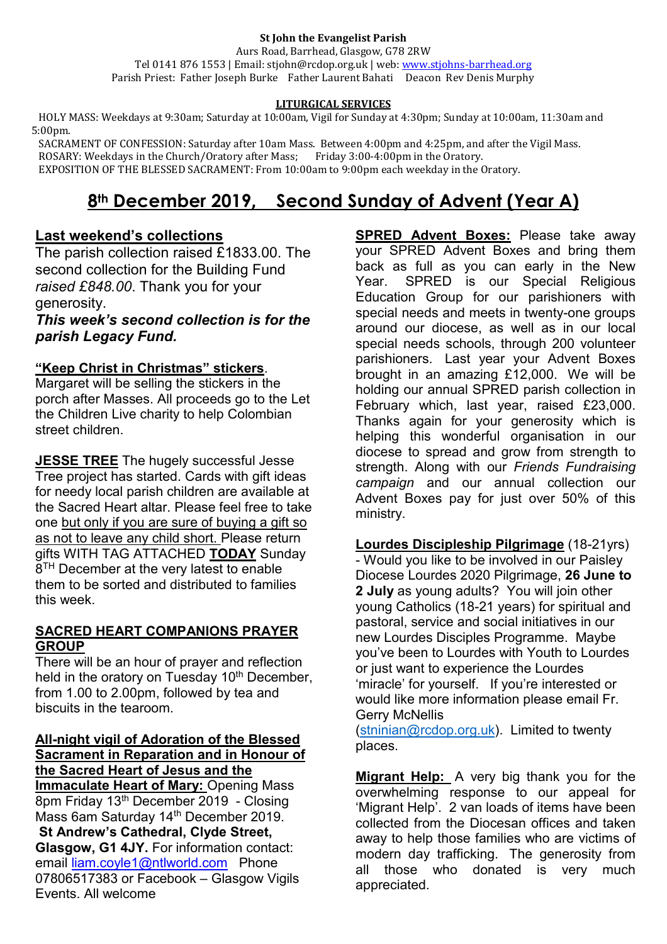#### **St John the Evangelist Parish**

Aurs Road, Barrhead, Glasgow, G78 2RW Tel 0141 876 1553 | Email: stjohn@rcdop.org.uk | web: [www.stjohns-barrhead.org](http://www.stjohns-barrhead.org/) Parish Priest: Father Joseph Burke Father Laurent Bahati Deacon Rev Denis Murphy

## **LITURGICAL SERVICES**

 HOLY MASS: Weekdays at 9:30am; Saturday at 10:00am, Vigil for Sunday at 4:30pm; Sunday at 10:00am, 11:30am and 5:00pm.

 SACRAMENT OF CONFESSION: Saturday after 10am Mass. Between 4:00pm and 4:25pm, and after the Vigil Mass. ROSARY: Weekdays in the Church/Oratory after Mass; Friday 3:00-4:00pm in the Oratory. EXPOSITION OF THE BLESSED SACRAMENT: From 10:00am to 9:00pm each weekday in the Oratory.

## **8th December 2019, Second Sunday of Advent (Year A)**

## **Last weekend's collections**

The parish collection raised £1833.00. The second collection for the Building Fund *raised £848.00*. Thank you for your generosity.

*This week's second collection is for the parish Legacy Fund.*

## **"Keep Christ in Christmas" stickers**.

Margaret will be selling the stickers in the porch after Masses. All proceeds go to the Let the Children Live charity to help Colombian street children.

**JESSE TREE** The hugely successful Jesse Tree project has started. Cards with gift ideas for needy local parish children are available at the Sacred Heart altar. Please feel free to take one but only if you are sure of buying a gift so as not to leave any child short. Please return gifts WITH TAG ATTACHED **TODAY** Sunday  $8<sup>TH</sup>$  December at the very latest to enable them to be sorted and distributed to families this week.

## **SACRED HEART COMPANIONS PRAYER GROUP**

There will be an hour of prayer and reflection held in the oratory on Tuesday 10<sup>th</sup> December, from 1.00 to 2.00pm, followed by tea and biscuits in the tearoom.

### **All-night vigil of Adoration of the Blessed Sacrament in Reparation and in Honour of the Sacred Heart of Jesus and the**

**Immaculate Heart of Mary:** Opening Mass 8pm Friday 13th December 2019 - Closing Mass 6am Saturday 14<sup>th</sup> December 2019. **St Andrew's Cathedral, Clyde Street, Glasgow, G1 4JY.** For information contact: email [liam.coyle1@ntlworld.com](mailto:liam.coyle1@ntlworld.com) Phone 07806517383 or Facebook – Glasgow Vigils Events. All welcome

**SPRED Advent Boxes:** Please take away your SPRED Advent Boxes and bring them back as full as you can early in the New Year. SPRED is our Special Religious Education Group for our parishioners with special needs and meets in twenty-one groups around our diocese, as well as in our local special needs schools, through 200 volunteer parishioners. Last year your Advent Boxes brought in an amazing £12,000. We will be holding our annual SPRED parish collection in February which, last year, raised £23,000. Thanks again for your generosity which is helping this wonderful organisation in our diocese to spread and grow from strength to strength. Along with our *Friends Fundraising campaign* and our annual collection our Advent Boxes pay for just over 50% of this ministry.

**Lourdes Discipleship Pilgrimage** (18-21yrs) - Would you like to be involved in our Paisley Diocese Lourdes 2020 Pilgrimage, **26 June to 2 July** as young adults? You will join other young Catholics (18-21 years) for spiritual and pastoral, service and social initiatives in our new Lourdes Disciples Programme. Maybe you've been to Lourdes with Youth to Lourdes or just want to experience the Lourdes 'miracle' for yourself. If you're interested or would like more information please email Fr. Gerry McNellis

[\(stninian@rcdop.org.uk\)](mailto:stninian@rcdop.org.uk). Limited to twenty places.

**Migrant Help:** A very big thank you for the overwhelming response to our appeal for 'Migrant Help'. 2 van loads of items have been collected from the Diocesan offices and taken away to help those families who are victims of modern day trafficking. The generosity from all those who donated is very much appreciated.